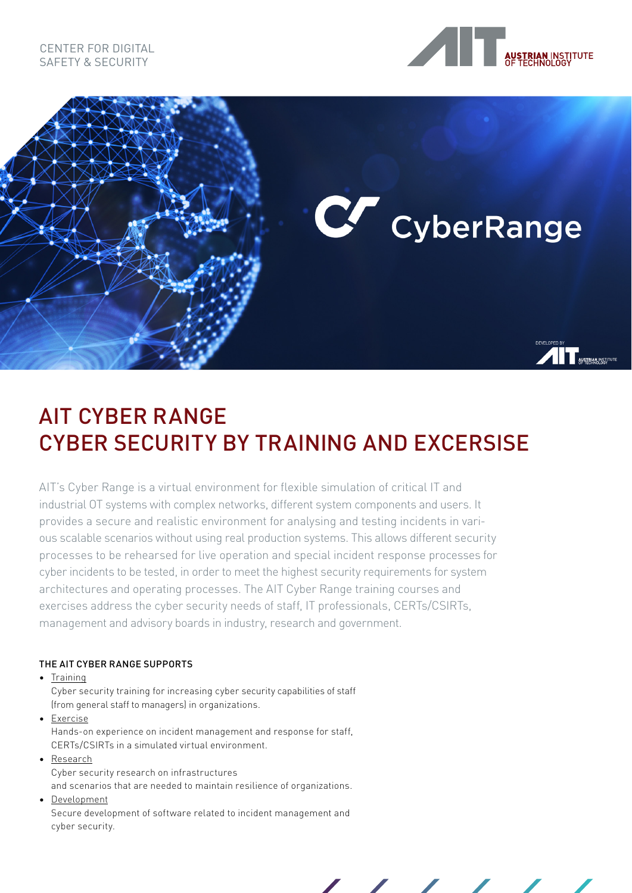## CENTER FOR DIGITAL SAFETY & SECURITY





# AIT CYBER RANGE CYBER SECURITY BY TRAINING AND EXCERSISE

AIT's Cyber Range is a virtual environment for flexible simulation of critical IT and industrial OT systems with complex networks, different system components and users. It provides a secure and realistic environment for analysing and testing incidents in various scalable scenarios without using real production systems. This allows different security processes to be rehearsed for live operation and special incident response processes for cyber incidents to be tested, in order to meet the highest security requirements for system architectures and operating processes. The AIT Cyber Range training courses and exercises address the cyber security needs of staff, IT professionals, CERTs/CSIRTs, management and advisory boards in industry, research and government.

## THE AIT CYBER RANGE SUPPORTS

• Training

Cyber security training for increasing cyber security capabilities of staff (from general staff to managers) in organizations.

• Exercise Hands-on experience on incident management and response for staff, CERTs/CSIRTs in a simulated virtual environment.

• Research

Cyber security research on infrastructures

and scenarios that are needed to maintain resilience of organizations.

• Development

Secure development of software related to incident management and cyber security.